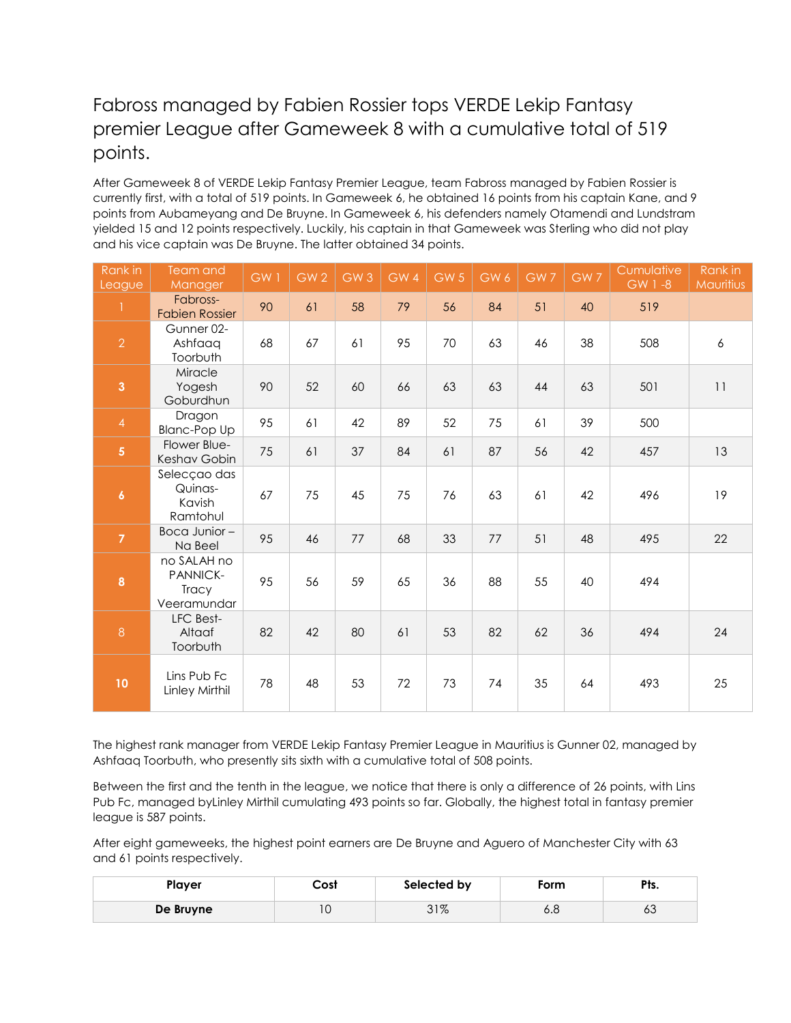## Fabross managed by Fabien Rossier tops VERDE Lekip Fantasy premier League after Gameweek 8 with a cumulative total of 519 points.

After Gameweek 8 of VERDE Lekip Fantasy Premier League, team Fabross managed by Fabien Rossier is currently first, with a total of 519 points. In Gameweek 6, he obtained 16 points from his captain Kane, and 9 points from Aubameyang and De Bruyne. In Gameweek 6, his defenders namely Otamendi and Lundstram yielded 15 and 12 points respectively. Luckily, his captain in that Gameweek was Sterling who did not play and his vice captain was De Bruyne. The latter obtained 34 points.

| Rank in<br>League       | Team and<br><b>Manager</b>                      | GW1 | GW <sub>2</sub> | GW <sub>3</sub> | GW 4 | GW <sub>5</sub> | GW 6 | GW7 | GW7 | Cumulative<br>$GW 1 - 8$ | Rank in<br>Mauritius |
|-------------------------|-------------------------------------------------|-----|-----------------|-----------------|------|-----------------|------|-----|-----|--------------------------|----------------------|
| 1                       | Fabross-<br><b>Fabien Rossier</b>               | 90  | 61              | 58              | 79   | 56              | 84   | 51  | 40  | 519                      |                      |
| $\overline{2}$          | Gunner 02-<br>Ashfaaq<br>Toorbuth               | 68  | 67              | 61              | 95   | 70              | 63   | 46  | 38  | 508                      | 6                    |
| $\overline{3}$          | Miracle<br>Yogesh<br>Goburdhun                  | 90  | 52              | 60              | 66   | 63              | 63   | 44  | 63  | 501                      | 11                   |
| $\overline{4}$          | Dragon<br><b>Blanc-Pop Up</b>                   | 95  | 61              | 42              | 89   | 52              | 75   | 61  | 39  | 500                      |                      |
| $\overline{\mathbf{5}}$ | Flower Blue-<br>Keshav Gobin                    | 75  | 61              | 37              | 84   | 61              | 87   | 56  | 42  | 457                      | 13                   |
| $\boldsymbol{6}$        | Selecçao das<br>Quinas-<br>Kavish<br>Ramtohul   | 67  | 75              | 45              | 75   | 76              | 63   | 61  | 42  | 496                      | 19                   |
| $\overline{7}$          | Boca Junior-<br>Na Beel                         | 95  | 46              | 77              | 68   | 33              | 77   | 51  | 48  | 495                      | 22                   |
| 8                       | no SALAH no<br>PANNICK-<br>Tracy<br>Veeramundar | 95  | 56              | 59              | 65   | 36              | 88   | 55  | 40  | 494                      |                      |
| $\overline{8}$          | LFC Best-<br>Altaaf<br>Toorbuth                 | 82  | 42              | 80              | 61   | 53              | 82   | 62  | 36  | 494                      | 24                   |
| 10                      | Lins Pub Fc<br>Linley Mirthil                   | 78  | 48              | 53              | 72   | 73              | 74   | 35  | 64  | 493                      | 25                   |

The highest rank manager from VERDE Lekip Fantasy Premier League in Mauritius is Gunner 02, managed by Ashfaaq Toorbuth, who presently sits sixth with a cumulative total of 508 points.

Between the first and the tenth in the league, we notice that there is only a difference of 26 points, with Lins Pub Fc, managed byLinley Mirthil cumulating 493 points so far. Globally, the highest total in fantasy premier league is 587 points.

After eight gameweeks, the highest point earners are De Bruyne and Aguero of Manchester City with 63 and 61 points respectively.

| Plaver    | Cost | Selected by    | Form | Dł.<br>г і э. |
|-----------|------|----------------|------|---------------|
| De Bruyne | ιu   | 2107<br>ە/ 1 ت | o.o  | ರಿ            |